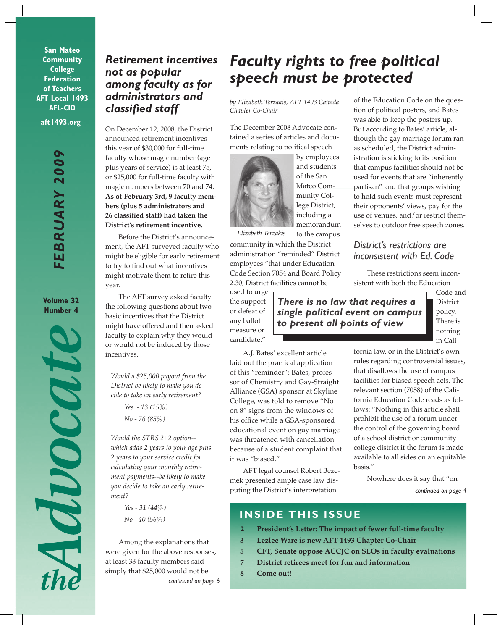**San Mateo Community College Federation of Teachers AFT Local 1493 AFL-CIO**

**aft1493.org**

**Volume 32 Number 4**



## *Retirement incentives not as popular among faculty as for administrators and classified staff*

On December 12, 2008, the District announced retirement incentives this year of \$30,000 for full-time faculty whose magic number (age plus years of service) is at least 75, or \$25,000 for full-time faculty with magic numbers between 70 and 74. **As of February 3rd, 9 faculty members (plus 5 administrators and 26 classified staff) had taken the District's retirement incentive.**

Before the District's announcement, the AFT surveyed faculty who might be eligible for early retirement to try to find out what incentives might motivate them to retire this year.

The AFT survey asked faculty the following questions about two basic incentives that the District might have offered and then asked faculty to explain why they would or would not be induced by those incentives.

*Would a \$25,000 payout from the District be likely to make you decide to take an early retirement?*

> *Yes - 13 (15%) No - 76 (85%)*

*Would the STRS 2+2 option- which adds 2 years to your age plus 2 years to your service credit for calculating your monthly retirement payments--be likely to make you decide to take an early retirement?*

> *Yes - 31 (44%) No - 40 (56%)*

*continued on page 6* Among the explanations that were given for the above responses, at least 33 faculty members said simply that \$25,000 would not be

# *Faculty rights to free political speech must be protected*

*by Elizabeth Terzakis, AFT 1493 Cañada Chapter Co-Chair*

The December 2008 Advocate contained a series of articles and documents relating to political speech



by employees and students of the San Mateo Community College District, including a memorandum to the campus

*Elizabeth Terzakis*

community in which the District administration "reminded" District employees "that under Education Code Section 7054 and Board Policy 2.30, District facilities cannot be

used to urge the support or defeat of any ballot measure or candidate."

A.J. Bates' excellent article laid out the practical application of this "reminder": Bates, professor of Chemistry and Gay-Straight Alliance (GSA) sponsor at Skyline College, was told to remove "No on 8" signs from the windows of his office while a GSA-sponsored educational event on gay marriage was threatened with cancellation because of a student complaint that it was "biased."

AFT legal counsel Robert Bezemek presented ample case law disputing the District's interpretation

of the Education Code on the question of political posters, and Bates was able to keep the posters up. But according to Bates' article, although the gay marriage forum ran as scheduled, the District administration is sticking to its position that campus facilities should not be used for events that are "inherently partisan" and that groups wishing to hold such events must represent their opponents' views, pay for the use of venues, and/or restrict themselves to outdoor free speech zones.

### *District's restrictions are inconsistent with Ed. Code*

These restrictions seem inconsistent with both the Education

*There is no law that requires a single political event on campus to present all points of view*

Code and **District** policy. There is nothing in Cali-

fornia law, or in the District's own rules regarding controversial issues, that disallows the use of campus facilities for biased speech acts. The relevant section (7058) of the California Education Code reads as follows: "Nothing in this article shall prohibit the use of a forum under the control of the governing board of a school district or community college district if the forum is made available to all sides on an equitable basis."

*continued on page 4* Nowhere does it say that "on

## **INSIDE THIS ISSUE**

- **2 President's Letter: The impact of fewer full-time faculty**
- **3 Lezlee Ware is new AFT 1493 Chapter Co-Chair**
- **5 CFT, Senate oppose ACCJC on SLOs in faculty evaluations**
- **7 District retirees meet for fun and information**
- **8 Come out!**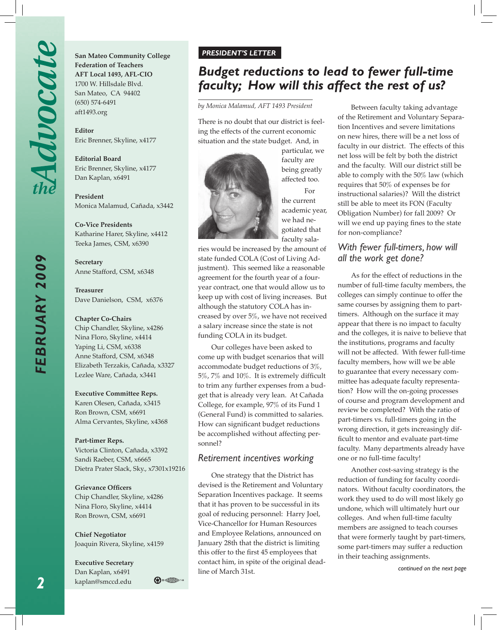*FEBRUARY 2009*

FEBRUARY 2009

**San Mateo Community College Federation of Teachers AFT Local 1493, AFL-CIO** 1700 W. Hillsdale Blvd. San Mateo, CA 94402 (650) 574-6491 aft1493.org

**Editor**  Eric Brenner, Skyline, x4177

**Editorial Board** Eric Brenner, Skyline, x4177 Dan Kaplan, x6491

**President**  Monica Malamud, Cañada, x3442

**Co-Vice Presidents** Katharine Harer, Skyline, x4412 Teeka James, CSM, x6390

**Secretary** Anne Stafford, CSM, x6348

**Treasurer** Dave Danielson, CSM, x6376

#### **Chapter Co-Chairs**

Chip Chandler, Skyline, x4286 Nina Floro, Skyline, x4414 Yaping Li, CSM, x6338 Anne Stafford, CSM, x6348 Elizabeth Terzakis, Cañada, x3327 Lezlee Ware, Cañada, x3441

#### **Executive Committee Reps.**

Karen Olesen, Cañada, x3415 Ron Brown, CSM, x6691 Alma Cervantes, Skyline, x4368

#### **Part-timer Reps.**

Victoria Clinton, Cañada, x3392 Sandi Raeber, CSM, x6665 Dietra Prater Slack, Sky., x7301x19216

#### **Grievance Officers**

Chip Chandler, Skyline, x4286 Nina Floro, Skyline, x4414 Ron Brown, CSM, x6691

**Chief Negotiator** Joaquin Rivera, Skyline, x4159

 $\bigoplus_i \bigoplus_j \mathbb{Z}$ 

**Executive Secretary** Dan Kaplan, x6491 kaplan@smccd.edu

#### *PRESIDENT'S LETTER*

## *Budget reductions to lead to fewer full-time faculty; How will this affect the rest of us?*

*by Monica Malamud, AFT 1493 President*

There is no doubt that our district is feeling the effects of the current economic situation and the state budget. And, in



particular, we faculty are being greatly affected too.

For the current academic year, we had negotiated that faculty sala-

ries would be increased by the amount of state funded COLA (Cost of Living Adjustment). This seemed like a reasonable agreement for the fourth year of a fouryear contract, one that would allow us to keep up with cost of living increases. But although the statutory COLA has increased by over 5%, we have not received a salary increase since the state is not funding COLA in its budget.

Our colleges have been asked to come up with budget scenarios that will accommodate budget reductions of 3%, 5%, 7% and 10%. It is extremely difficult to trim any further expenses from a budget that is already very lean. At Cañada College, for example, 97% of its Fund 1 (General Fund) is committed to salaries. How can significant budget reductions be accomplished without affecting personnel?

#### *Retirement incentives working*

One strategy that the District has devised is the Retirement and Voluntary Separation Incentives package. It seems that it has proven to be successful in its goal of reducing personnel: Harry Joel, Vice-Chancellor for Human Resources and Employee Relations, announced on January 28th that the district is limiting this offer to the first 45 employees that contact him, in spite of the original deadline of March 31st.

Between faculty taking advantage of the Retirement and Voluntary Separation Incentives and severe limitations on new hires, there will be a net loss of faculty in our district. The effects of this net loss will be felt by both the district and the faculty. Will our district still be able to comply with the 50% law (which requires that 50% of expenses be for instructional salaries)? Will the district still be able to meet its FON (Faculty Obligation Number) for fall 2009? Or will we end up paying fines to the state for non-compliance?

#### *With fewer full-timers, how will all the work get done?*

As for the effect of reductions in the number of full-time faculty members, the colleges can simply continue to offer the same courses by assigning them to parttimers. Although on the surface it may appear that there is no impact to faculty and the colleges, it is naive to believe that the institutions, programs and faculty will not be affected. With fewer full-time faculty members, how will we be able to guarantee that every necessary committee has adequate faculty representation? How will the on-going processes of course and program development and review be completed? With the ratio of part-timers vs. full-timers going in the wrong direction, it gets increasingly difficult to mentor and evaluate part-time faculty. Many departments already have one or no full-time faculty!

Another cost-saving strategy is the reduction of funding for faculty coordinators. Without faculty coordinators, the work they used to do will most likely go undone, which will ultimately hurt our colleges. And when full-time faculty members are assigned to teach courses that were formerly taught by part-timers, some part-timers may suffer a reduction in their teaching assignments.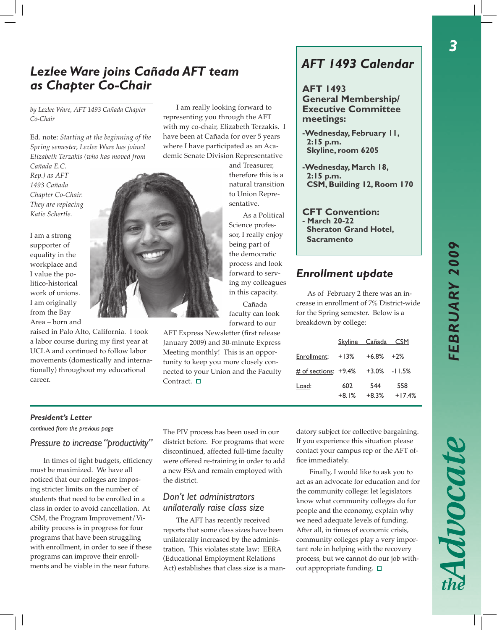## *Lezlee Ware joins Cañada AFT team as Chapter Co-Chair*

*by Lezlee Ware, AFT 1493 Cañada Chapter Co-Chair*

Ed. note: *Starting at the beginning of the Spring semester, Lezlee Ware has joined Elizabeth Terzakis (who has moved from* 

*Cañada E.C. Rep.) as AFT 1493 Cañada Chapter Co-Chair. They are replacing Katie Schertle.* 

I am a strong supporter of equality in the workplace and I value the politico-historical work of unions. I am originally from the Bay Area – born and

raised in Palo Alto, California. I took a labor course during my first year at UCLA and continued to follow labor movements (domestically and internationally) throughout my educational career.

I am really looking forward to representing you through the AFT with my co-chair, Elizabeth Terzakis. I have been at Cañada for over 5 years where I have participated as an Academic Senate Division Representative

and Treasurer, therefore this is a natural transition to Union Representative.

As a Political Science professor, I really enjoy being part of the democratic process and look forward to serving my colleagues in this capacity.

Cañada faculty can look forward to our

AFT Express Newsletter (first release January 2009) and 30-minute Express Meeting monthly! This is an opportunity to keep you more closely connected to your Union and the Faculty Contract.  $\square$ 

# *AFT 1493 Calendar*

**AFT 1493 General Membership/ Executive Committee meetings:**

- **-Wednesday, February 11, 2:15 p.m. Skyline, room 6205**
- **-Wednesday, March 18, 2:15 p.m. CSM, Building 12, Room 170**

**CFT Convention: - March 20-22 Sheraton Grand Hotel, Sacramento**

## *Enrollment update*

As of February 2 there was an increase in enrollment of 7% District-wide for the Spring semester. Below is a breakdown by college:

|                         | Skyline Cañada CSM |                 |                 |
|-------------------------|--------------------|-----------------|-----------------|
| Enrollment:             | $+13%$             | $+6.8\%$ $+2\%$ |                 |
| # of sections: $+9.4\%$ |                    | $+3.0\%$ -11.5% |                 |
| Load:                   | 602<br>$+8.1%$     | 544<br>$+8.3%$  | 558<br>$+17.4%$ |

#### *President's Letter*

*continued from the previous page*

### *Pressure to increase "productivity"*

In times of tight budgets, efficiency must be maximized. We have all noticed that our colleges are imposing stricter limits on the number of students that need to be enrolled in a class in order to avoid cancellation. At CSM, the Program Improvement/Viability process is in progress for four programs that have been struggling with enrollment, in order to see if these programs can improve their enrollments and be viable in the near future.

The PIV process has been used in our district before. For programs that were discontinued, affected full-time faculty were offered re-training in order to add a new FSA and remain employed with the district.

#### *Don't let administrators unilaterally raise class size*

The AFT has recently received reports that some class sizes have been unilaterally increased by the administration. This violates state law: EERA (Educational Employment Relations Act) establishes that class size is a mandatory subject for collective bargaining. If you experience this situation please contact your campus rep or the AFT office immediately.

Finally, I would like to ask you to act as an advocate for education and for the community college: let legislators know what community colleges do for people and the economy, explain why we need adequate levels of funding. After all, in times of economic crisis, community colleges play a very important role in helping with the recovery process, but we cannot do our job without appropriate funding.  $\square$ 

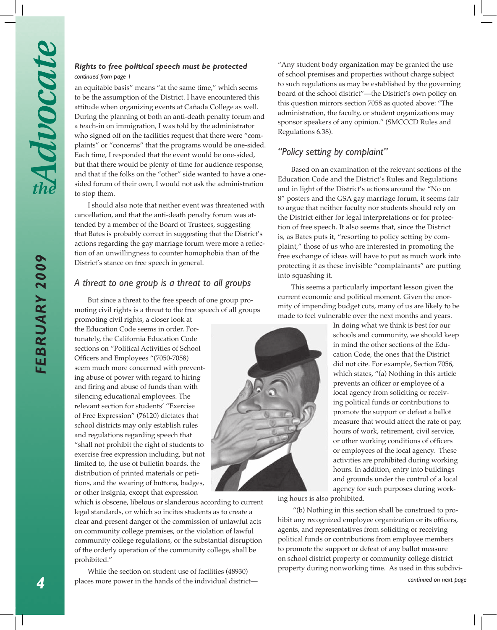*FEBRUARY 2009*

FEBRUARY 2009

#### *Rights to free political speech must be protected continued from page 1*

an equitable basis" means "at the same time," which seems to be the assumption of the District. I have encountered this attitude when organizing events at Cañada College as well. During the planning of both an anti-death penalty forum and a teach-in on immigration, I was told by the administrator who signed off on the facilities request that there were "complaints" or "concerns" that the programs would be one-sided. Each time, I responded that the event would be one-sided, but that there would be plenty of time for audience response, and that if the folks on the "other" side wanted to have a onesided forum of their own, I would not ask the administration to stop them.

I should also note that neither event was threatened with cancellation, and that the anti-death penalty forum was attended by a member of the Board of Trustees, suggesting that Bates is probably correct in suggesting that the District's actions regarding the gay marriage forum were more a reflection of an unwillingness to counter homophobia than of the District's stance on free speech in general.

#### *A threat to one group is a threat to all groups*

But since a threat to the free speech of one group promoting civil rights is a threat to the free speech of all groups

promoting civil rights, a closer look at the Education Code seems in order. Fortunately, the California Education Code sections on "Political Activities of School Officers and Employees "(7050-7058) seem much more concerned with preventing abuse of power with regard to hiring and firing and abuse of funds than with silencing educational employees. The relevant section for students' "Exercise of Free Expression" (76120) dictates that school districts may only establish rules and regulations regarding speech that "shall not prohibit the right of students to exercise free expression including, but not limited to, the use of bulletin boards, the distribution of printed materials or petitions, and the wearing of buttons, badges, or other insignia, except that expression

which is obscene, libelous or slanderous according to current legal standards, or which so incites students as to create a clear and present danger of the commission of unlawful acts on community college premises, or the violation of lawful community college regulations, or the substantial disruption of the orderly operation of the community college, shall be prohibited."

While the section on student use of facilities (48930) places more power in the hands of the individual district—

"Any student body organization may be granted the use of school premises and properties without charge subject to such regulations as may be established by the governing board of the school district"—the District's own policy on this question mirrors section 7058 as quoted above: "The administration, the faculty, or student organizations may sponsor speakers of any opinion." (SMCCCD Rules and Regulations 6.38).

## *"Policy setting by complaint"*

Based on an examination of the relevant sections of the Education Code and the District's Rules and Regulations and in light of the District's actions around the "No on 8" posters and the GSA gay marriage forum, it seems fair to argue that neither faculty nor students should rely on the District either for legal interpretations or for protection of free speech. It also seems that, since the District is, as Bates puts it, "resorting to policy setting by complaint," those of us who are interested in promoting the free exchange of ideas will have to put as much work into protecting it as these invisible "complainants" are putting into squashing it.

This seems a particularly important lesson given the current economic and political moment. Given the enormity of impending budget cuts, many of us are likely to be made to feel vulnerable over the next months and years.

In doing what we think is best for our schools and community, we should keep in mind the other sections of the Education Code, the ones that the District did not cite. For example, Section 7056, which states, "(a) Nothing in this article prevents an officer or employee of a local agency from soliciting or receiving political funds or contributions to promote the support or defeat a ballot measure that would affect the rate of pay, hours of work, retirement, civil service, or other working conditions of officers or employees of the local agency. These activities are prohibited during working hours. In addition, entry into buildings and grounds under the control of a local agency for such purposes during work-

ing hours is also prohibited.

 "(b) Nothing in this section shall be construed to prohibit any recognized employee organization or its officers, agents, and representatives from soliciting or receiving political funds or contributions from employee members to promote the support or defeat of any ballot measure on school district property or community college district property during nonworking time. As used in this subdivi-

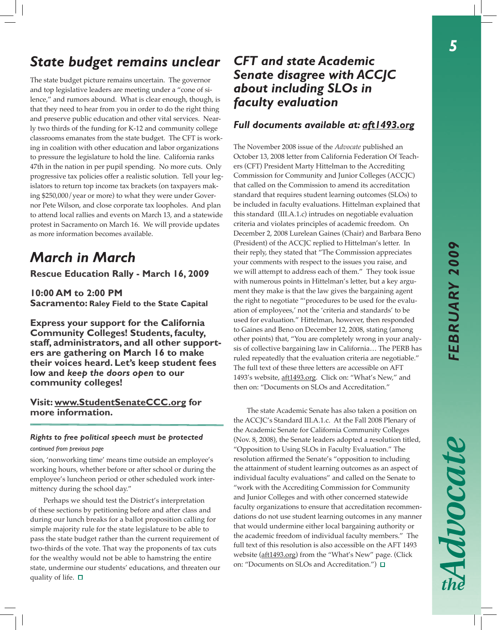# *State budget remains unclear*

The state budget picture remains uncertain. The governor and top legislative leaders are meeting under a "cone of silence," and rumors abound. What is clear enough, though, is that they need to hear from you in order to do the right thing and preserve public education and other vital services. Nearly two thirds of the funding for K-12 and community college classrooms emanates from the state budget. The CFT is working in coalition with other education and labor organizations to pressure the legislature to hold the line. California ranks 47th in the nation in per pupil spending. No more cuts. Only progressive tax policies offer a realistic solution. Tell your legislators to return top income tax brackets (on taxpayers making \$250,000/year or more) to what they were under Governor Pete Wilson, and close corporate tax loopholes. And plan to attend local rallies and events on March 13, and a statewide protest in Sacramento on March 16. We will provide updates as more information becomes available.

# *March in March*

**Rescue Education Rally - March 16, 2009**

**10:00 AM to 2:00 PM Sacramento: Raley Field to the State Capital**

**Express your support for the California Community Colleges! Students, faculty, staff, administrators, and all other supporters are gathering on March 16 to make their voices heard. Let's keep student fees low and** *keep the doors open* **to our community colleges!**

**Visit: www.StudentSenateCCC.org for more information.**

#### *Rights to free political speech must be protected*

*continued from previous page*

sion, 'nonworking time' means time outside an employee's working hours, whether before or after school or during the employee's luncheon period or other scheduled work intermittency during the school day."

Perhaps we should test the District's interpretation of these sections by petitioning before and after class and during our lunch breaks for a ballot proposition calling for simple majority rule for the state legislature to be able to pass the state budget rather than the current requirement of two-thirds of the vote. That way the proponents of tax cuts for the wealthy would not be able to hamstring the entire state, undermine our students' educations, and threaten our quality of life.  $\square$ 

## *CFT and state Academic Senate disagree with ACCJC about including SLOs in faculty evaluation*

### *Full documents available at: aft1493.org*

The November 2008 issue of the *Advocate* published an October 13, 2008 letter from California Federation Of Teachers (CFT) President Marty Hittelman to the Accrediting Commission for Community and Junior Colleges (ACCJC) that called on the Commission to amend its accreditation standard that requires student learning outcomes (SLOs) to be included in faculty evaluations. Hittelman explained that this standard (III.A.1.c) intrudes on negotiable evaluation criteria and violates principles of academic freedom. On December 2, 2008 Lurelean Gaines (Chair) and Barbara Beno (President) of the ACCJC replied to Hittelman's letter. In their reply, they stated that "The Commission appreciates your comments with respect to the issues you raise, and we will attempt to address each of them." They took issue with numerous points in Hittelman's letter, but a key argument they make is that the law gives the bargaining agent the right to negotiate "'procedures to be used for the evaluation of employees,' not the 'criteria and standards' to be used for evaluation." Hittelman, however, then responded to Gaines and Beno on December 12, 2008, stating (among other points) that, "You are completely wrong in your analysis of collective bargaining law in California… The PERB has ruled repeatedly that the evaluation criteria are negotiable." The full text of these three letters are accessible on AFT 1493's website, aft1493.org. Click on: "What's New," and then on: "Documents on SLOs and Accreditation."

 The state Academic Senate has also taken a position on the ACCJC's Standard III.A.1.c. At the Fall 2008 Plenary of the Academic Senate for California Community Colleges (Nov. 8, 2008), the Senate leaders adopted a resolution titled, "Opposition to Using SLOs in Faculty Evaluation." The resolution affirmed the Senate's "opposition to including the attainment of student learning outcomes as an aspect of individual faculty evaluations" and called on the Senate to "work with the Accrediting Commission for Community and Junior Colleges and with other concerned statewide faculty organizations to ensure that accreditation recommendations do not use student learning outcomes in any manner that would undermine either local bargaining authority or the academic freedom of individual faculty members." The full text of this resolution is also accessible on the AFT 1493 website (aft1493.org) from the "What's New" page. (Click on: "Documents on SLOs and Accreditation.")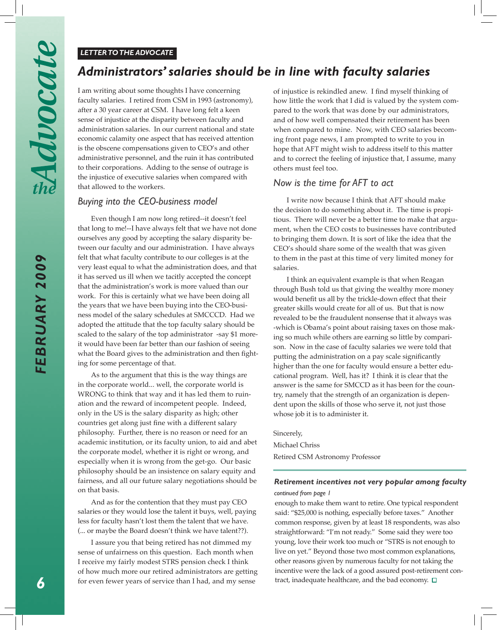#### *LETTER TO THE ADVOCATE*

## *Administrators' salaries should be in line with faculty salaries*

I am writing about some thoughts I have concerning faculty salaries. I retired from CSM in 1993 (astronomy), after a 30 year career at CSM. I have long felt a keen sense of injustice at the disparity between faculty and administration salaries. In our current national and state economic calamity one aspect that has received attention is the obscene compensations given to CEO's and other administrative personnel, and the ruin it has contributed to their corporations. Adding to the sense of outrage is the injustice of executive salaries when compared with that allowed to the workers.

#### *Buying into the CEO-business model*

 Even though I am now long retired--it doesn't feel that long to me!--I have always felt that we have not done ourselves any good by accepting the salary disparity between our faculty and our administration. I have always felt that what faculty contribute to our colleges is at the very least equal to what the administration does, and that it has served us ill when we tacitly accepted the concept that the administration's work is more valued than our work. For this is certainly what we have been doing all the years that we have been buying into the CEO-business model of the salary schedules at SMCCCD. Had we adopted the attitude that the top faculty salary should be scaled to the salary of the top administrator -say \$1 moreit would have been far better than our fashion of seeing what the Board gives to the administration and then fighting for some percentage of that.

As to the argument that this is the way things are in the corporate world... well, the corporate world is WRONG to think that way and it has led them to ruination and the reward of incompetent people. Indeed, only in the US is the salary disparity as high; other countries get along just fine with a different salary philosophy. Further, there is no reason or need for an academic institution, or its faculty union, to aid and abet the corporate model, whether it is right or wrong, and especially when it is wrong from the get-go. Our basic philosophy should be an insistence on salary equity and fairness, and all our future salary negotiations should be on that basis.

And as for the contention that they must pay CEO salaries or they would lose the talent it buys, well, paying less for faculty hasn't lost them the talent that we have. (... or maybe the Board doesn't think we have talent??).

 I assure you that being retired has not dimmed my sense of unfairness on this question. Each month when I receive my fairly modest STRS pension check I think of how much more our retired administrators are getting for even fewer years of service than I had, and my sense

of injustice is rekindled anew. I find myself thinking of how little the work that I did is valued by the system compared to the work that was done by our administrators, and of how well compensated their retirement has been when compared to mine. Now, with CEO salaries becoming front page news, I am prompted to write to you in hope that AFT might wish to address itself to this matter and to correct the feeling of injustice that, I assume, many others must feel too.

#### *Now is the time for AFT to act*

I write now because I think that AFT should make the decision to do something about it. The time is propitious. There will never be a better time to make that argument, when the CEO costs to businesses have contributed to bringing them down. It is sort of like the idea that the CEO's should share some of the wealth that was given to them in the past at this time of very limited money for salaries.

 I think an equivalent example is that when Reagan through Bush told us that giving the wealthy more money would benefit us all by the trickle-down effect that their greater skills would create for all of us. But that is now revealed to be the fraudulent nonsense that it always was -which is Obama's point about raising taxes on those making so much while others are earning so little by comparison. Now in the case of faculty salaries we were told that putting the administration on a pay scale significantly higher than the one for faculty would ensure a better educational program. Well, has it? I think it is clear that the answer is the same for SMCCD as it has been for the country, namely that the strength of an organization is dependent upon the skills of those who serve it, not just those whose job it is to administer it.

Sincerely, Michael Chriss Retired CSM Astronomy Professor

#### *continued from page 1 Retirement incentives not very popular among faculty*

enough to make them want to retire. One typical respondent said: "\$25,000 is nothing, especially before taxes." Another common response, given by at least 18 respondents, was also straightforward: "I'm not ready." Some said they were too young, love their work too much or "STRS is not enough to live on yet." Beyond those two most common explanations, other reasons given by numerous faculty for not taking the incentive were the lack of a good assured post-retirement contract, inadequate healthcare, and the bad economy.  $\Box$ 

Advocate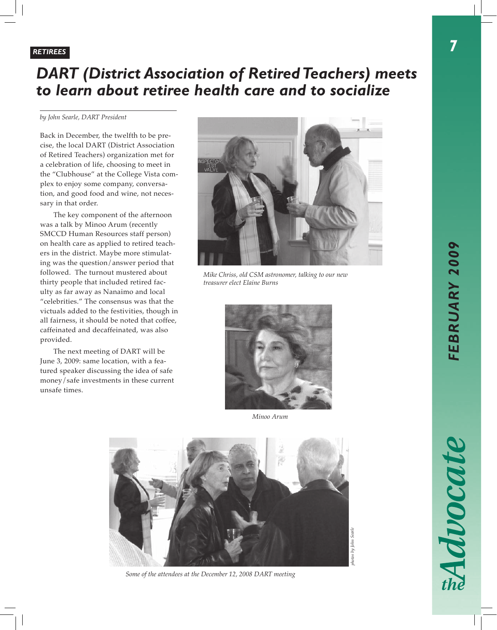# *DART (District Association of Retired Teachers) meets to learn about retiree health care and to socialize*

*by John Searle, DART President*

Back in December, the twelfth to be precise, the local DART (District Association of Retired Teachers) organization met for a celebration of life, choosing to meet in the "Clubhouse" at the College Vista complex to enjoy some company, conversation, and good food and wine, not necessary in that order.

The key component of the afternoon was a talk by Minoo Arum (recently SMCCD Human Resources staff person) on health care as applied to retired teachers in the district. Maybe more stimulating was the question/answer period that followed. The turnout mustered about thirty people that included retired faculty as far away as Nanaimo and local "celebrities." The consensus was that the victuals added to the festivities, though in all fairness, it should be noted that coffee, caffeinated and decaffeinated, was also provided.

The next meeting of DART will be June 3, 2009: same location, with a featured speaker discussing the idea of safe money/safe investments in these current unsafe times.



*Mike Chriss, old CSM astronomer, talking to our new treasurer elect Elaine Burns*



*Minoo Arum*



*Some of the attendees at the December 12, 2008 DART meeting*